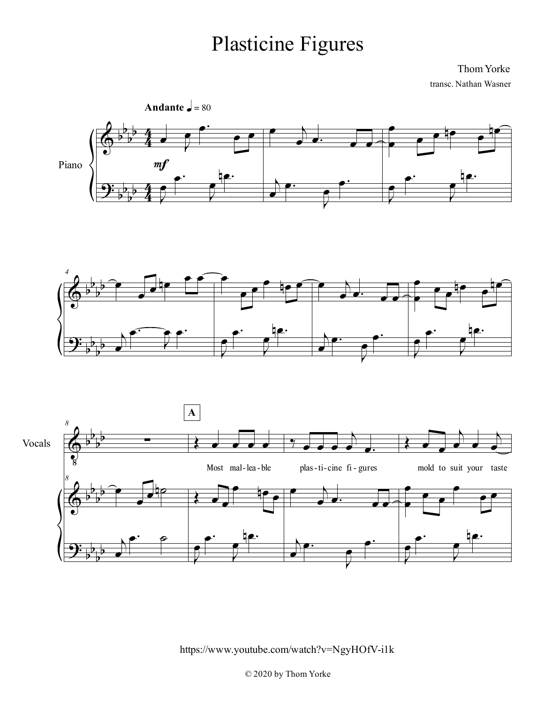## Plasticine Figures

Thom Yorke transc. Nathan Wasner







https://www.youtube.com/watch?v=NgyHOfV-i1k

© 2020 by Thom Yorke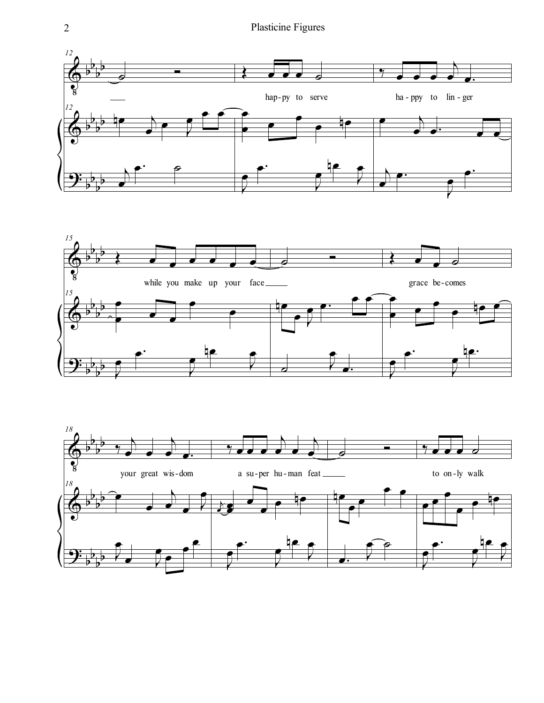



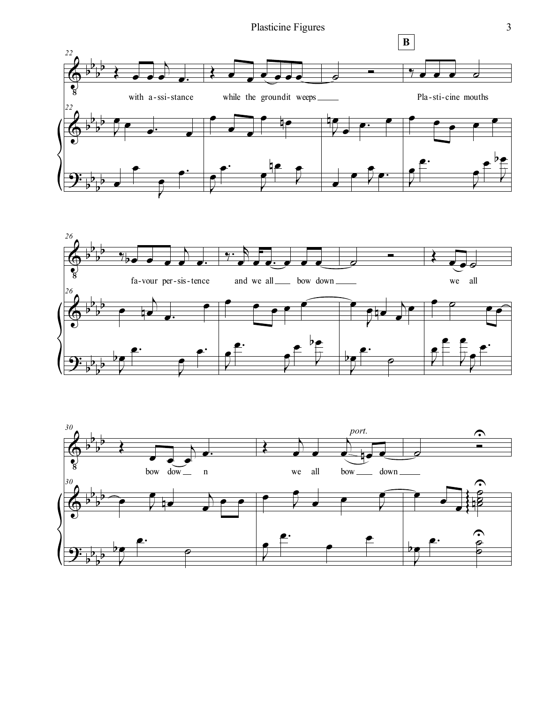Plasticine Figures 3





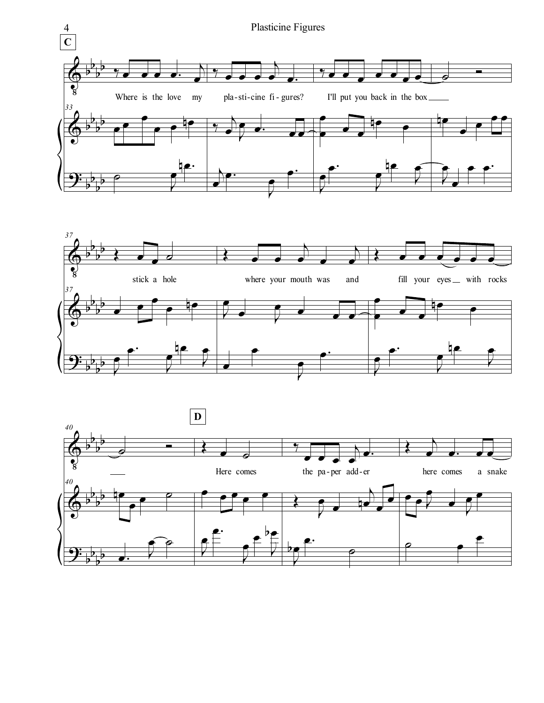